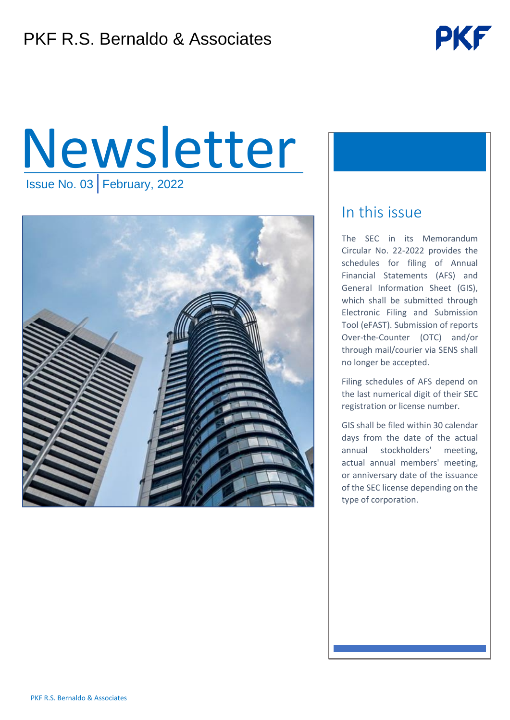

# Newsletter Issue No. 03 February, 2022



### In this issue

The SEC in its Memorandum Circular No. 22-2022 provides the schedules for filing of Annual Financial Statements (AFS) and General Information Sheet (GIS), which shall be submitted through Electronic Filing and Submission Tool (eFAST). Submission of reports Over-the-Counter (OTC) and/or through mail/courier via SENS shall no longer be accepted.

Filing schedules of AFS depend on the last numerical digit of their SEC registration or license number.

GIS shall be filed within 30 calendar days from the date of the actual annual stockholders' meeting, actual annual members' meeting, or anniversary date of the issuance of the SEC license depending on the type of corporation.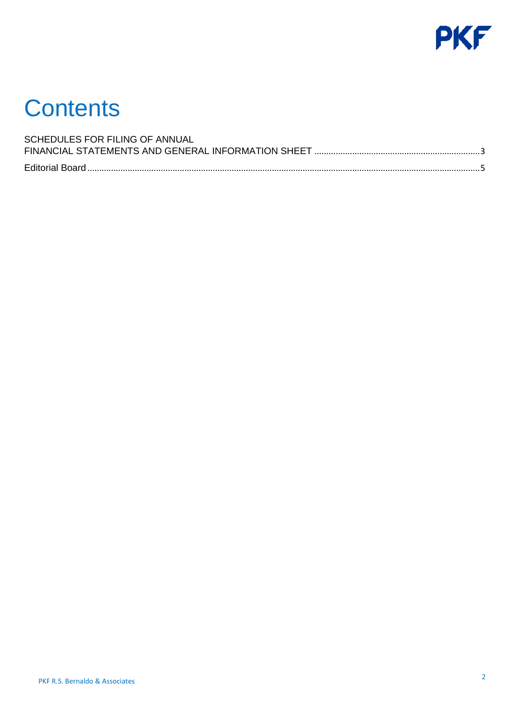

## **Contents**

| SCHEDULES FOR FILING OF ANNUAL |  |
|--------------------------------|--|
|                                |  |
|                                |  |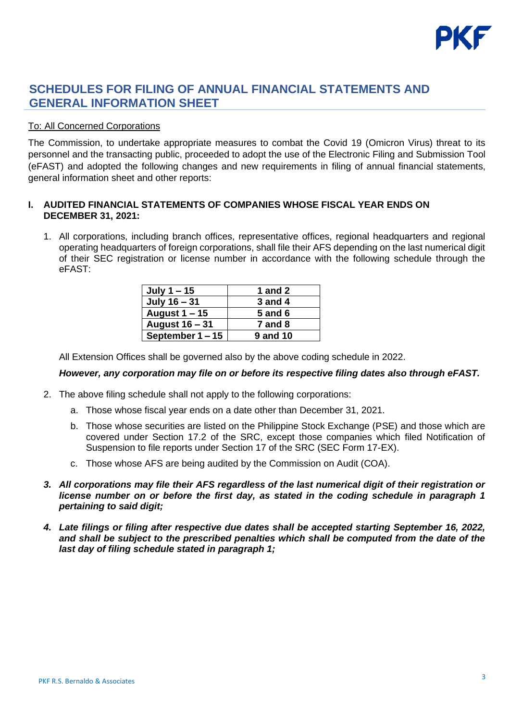

#### <span id="page-2-0"></span>**SCHEDULES FOR FILING OF ANNUAL FINANCIAL STATEMENTS AND GENERAL INFORMATION SHEET**

#### To: All Concerned Corporations

The Commission, to undertake appropriate measures to combat the Covid 19 (Omicron Virus) threat to its personnel and the transacting public, proceeded to adopt the use of the Electronic Filing and Submission Tool (eFAST) and adopted the following changes and new requirements in filing of annual financial statements, general information sheet and other reports:

#### **I. AUDITED FINANCIAL STATEMENTS OF COMPANIES WHOSE FISCAL YEAR ENDS ON DECEMBER 31, 2021:**

1. All corporations, including branch offices, representative offices, regional headquarters and regional operating headquarters of foreign corporations, shall file their AFS depending on the last numerical digit of their SEC registration or license number in accordance with the following schedule through the eFAST:

| July $1 - 15$      | <b>1 and 2</b>  |
|--------------------|-----------------|
| July 16 - 31       | 3 and 4         |
| August $1 - 15$    | <b>5 and 6</b>  |
| August 16 - 31     | $7$ and $8$     |
| September $1 - 15$ | <b>9 and 10</b> |

All Extension Offices shall be governed also by the above coding schedule in 2022.

#### *However, any corporation may file on or before its respective filing dates also through eFAST.*

- 2. The above filing schedule shall not apply to the following corporations:
	- a. Those whose fiscal year ends on a date other than December 31, 2021.
	- b. Those whose securities are listed on the Philippine Stock Exchange (PSE) and those which are covered under Section 17.2 of the SRC, except those companies which filed Notification of Suspension to file reports under Section 17 of the SRC (SEC Form 17-EX).
	- c. Those whose AFS are being audited by the Commission on Audit (COA).
- *3. All corporations may file their AFS regardless of the last numerical digit of their registration or license number on or before the first day, as stated in the coding schedule in paragraph 1 pertaining to said digit;*
- *4. Late filings or filing after respective due dates shall be accepted starting September 16, 2022, and shall be subject to the prescribed penalties which shall be computed from the date of the last day of filing schedule stated in paragraph 1;*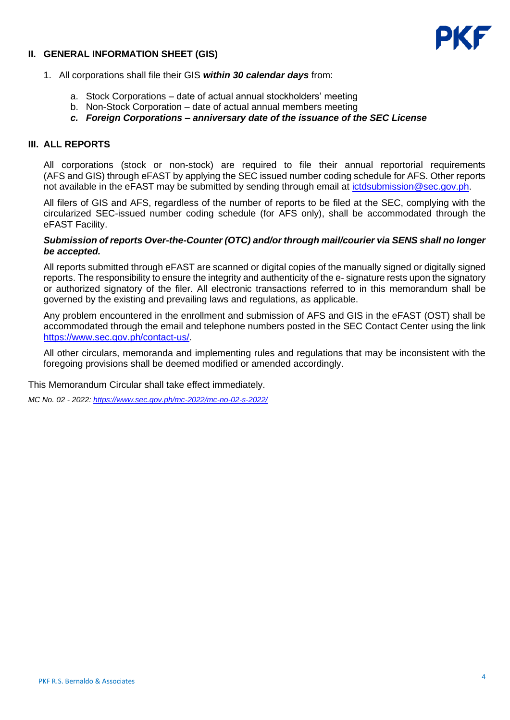#### **II. GENERAL INFORMATION SHEET (GIS)**



- 1. All corporations shall file their GIS *within 30 calendar days* from:
	- a. Stock Corporations date of actual annual stockholders' meeting
	- b. Non-Stock Corporation date of actual annual members meeting
	- *c. Foreign Corporations – anniversary date of the issuance of the SEC License*

#### **III. ALL REPORTS**

All corporations (stock or non-stock) are required to file their annual reportorial requirements (AFS and GIS) through eFAST by applying the SEC issued number coding schedule for AFS. Other reports not available in the eFAST may be submitted by sending through email at *ictdsubmission@sec.gov.ph*.

All filers of GIS and AFS, regardless of the number of reports to be filed at the SEC, complying with the circularized SEC-issued number coding schedule (for AFS only), shall be accommodated through the eFAST Facility.

#### *Submission of reports Over-the-Counter (OTC) and/or through mail/courier via SENS shall no longer be accepted.*

All reports submitted through eFAST are scanned or digital copies of the manually signed or digitally signed reports. The responsibility to ensure the integrity and authenticity of the e- signature rests upon the signatory or authorized signatory of the filer. All electronic transactions referred to in this memorandum shall be governed by the existing and prevailing laws and regulations, as applicable.

Any problem encountered in the enrollment and submission of AFS and GIS in the eFAST (OST) shall be accommodated through the email and telephone numbers posted in the SEC Contact Center using the link [https://www.sec.gov.ph/contact-us/.](https://www.sec.gov.ph/contact-us/)

All other circulars, memoranda and implementing rules and regulations that may be inconsistent with the foregoing provisions shall be deemed modified or amended accordingly.

This Memorandum Circular shall take effect immediately.

*MC No. 02 - 2022:<https://www.sec.gov.ph/mc-2022/mc-no-02-s-2022/>*